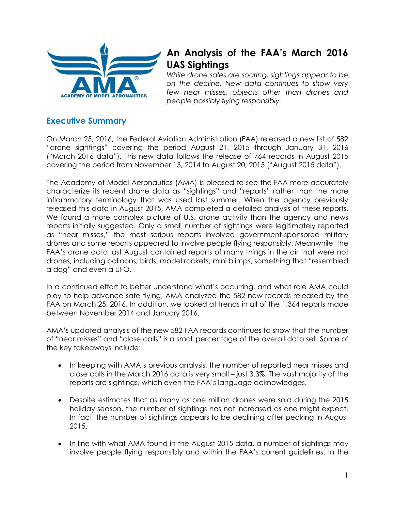

# **An Analysis of the FAA's March 2016 UAS Sightings**

*While drone sales are soaring, sightings appear to be on the decline. New data continues to show very few near misses, objects other than drones and people possibly flying responsibly.* 

## **Executive Summary**

On March 25, 2016, the Federal Aviation Administration (FAA) released a new list of 582 "drone sightings" covering the period August 21, 2015 through January 31, 2016 ("March 2016 data"). This new data follows the release of 764 records in August 2015 covering the period from November 13, 2014 to August 20, 2015 ("August 2015 data").

The Academy of Model Aeronautics (AMA) is pleased to see the FAA more accurately characterize its recent drone data as "sightings" and "reports" rather than the more inflammatory terminology that was used last summer. When the agency previously released this data in August 2015, AMA completed a detailed analysis of these reports. We found a more complex picture of U.S. drone activity than the agency and news reports initially suggested. Only a small number of sightings were legitimately reported as "near misses," the most serious reports involved government-sponsored military drones and some reports appeared to involve people flying responsibly. Meanwhile, the FAA's drone data last August contained reports of many things in the air that were not drones, including balloons, birds, model rockets, mini blimps, something that "resembled a dog" and even a UFO.

In a continued effort to better understand what's occurring, and what role AMA could play to help advance safe flying, AMA analyzed the 582 new records released by the FAA on March 25, 2016. In addition, we looked at trends in all of the 1,364 reports made between November 2014 and January 2016.

AMA's updated analysis of the new 582 FAA records continues to show that the number of "near misses" and "close calls" is a small percentage of the overall data set. Some of the key takeaways include:

- In keeping with AMA's previous analysis, the number of reported near misses and close calls in the March 2016 data is very small – just 3.3%. The vast majority of the reports are sightings, which even the FAA's language acknowledges.
- Despite estimates that as many as one million drones were sold during the 2015 holiday season, the number of sightings has not increased as one might expect. In fact, the number of sightings appears to be declining after peaking in August 2015.
- In line with what AMA found in the August 2015 data, a number of sightings may involve people flying responsibly and within the FAA's current guidelines. In the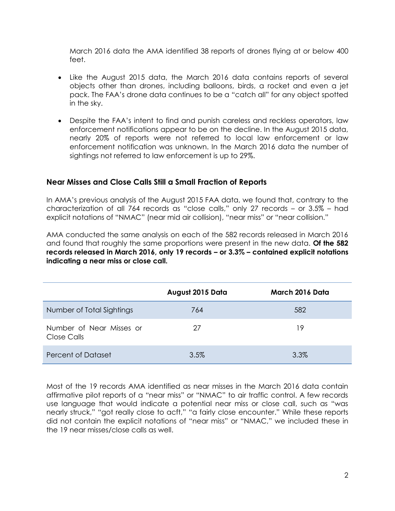March 2016 data the AMA identified 38 reports of drones flying at or below 400 feet.

- Like the August 2015 data, the March 2016 data contains reports of several objects other than drones, including balloons, birds, a rocket and even a jet pack. The FAA's drone data continues to be a "catch all" for any object spotted in the sky.
- Despite the FAA's intent to find and punish careless and reckless operators, law enforcement notifications appear to be on the decline. In the August 2015 data, nearly 20% of reports were not referred to local law enforcement or law enforcement notification was unknown. In the March 2016 data the number of sightings not referred to law enforcement is up to 29%.

#### **Near Misses and Close Calls Still a Small Fraction of Reports**

In AMA's previous analysis of the August 2015 FAA data, we found that, contrary to the characterization of all 764 records as "close calls," only 27 records – or 3.5% – had explicit notations of "NMAC" (near mid air collision), "near miss" or "near collision."

AMA conducted the same analysis on each of the 582 records released in March 2016 and found that roughly the same proportions were present in the new data. **Of the 582 records released in March 2016, only 19 records – or 3.3% – contained explicit notations indicating a near miss or close call.** 

|                                         | August 2015 Data | March 2016 Data |
|-----------------------------------------|------------------|-----------------|
| Number of Total Sightings               | 764              | 582             |
| Number of Near Misses or<br>Close Calls | 27               | 19              |
| Percent of Dataset                      | 3.5%             | 3.3%            |

Most of the 19 records AMA identified as near misses in the March 2016 data contain affirmative pilot reports of a "near miss" or "NMAC" to air traffic control. A few records use language that would indicate a potential near miss or close call, such as "was nearly struck," "got really close to acft," "a fairly close encounter." While these reports did not contain the explicit notations of "near miss" or "NMAC," we included these in the 19 near misses/close calls as well.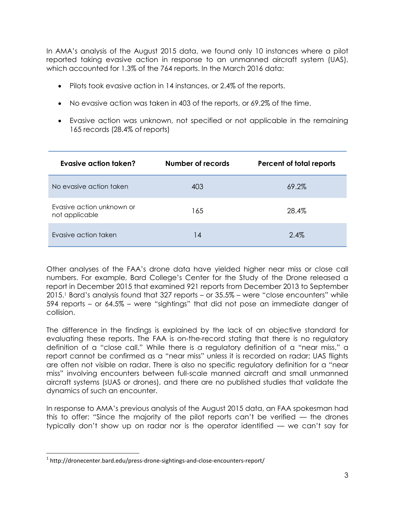In AMA's analysis of the August 2015 data, we found only 10 instances where a pilot reported taking evasive action in response to an unmanned aircraft system (UAS), which accounted for 1.3% of the 764 reports. In the March 2016 data:

- Pilots took evasive action in 14 instances, or 2.4% of the reports.
- No evasive action was taken in 403 of the reports, or 69.2% of the time.
- Evasive action was unknown, not specified or not applicable in the remaining 165 records (28.4% of reports)

| Evasive action taken?                       | Number of records | Percent of total reports |
|---------------------------------------------|-------------------|--------------------------|
| No evasive action taken                     | 403               | 69.2%                    |
| Evasive action unknown or<br>not applicable | 165               | 28.4%                    |
| Evasive action taken                        | 14                | 2.4%                     |

Other analyses of the FAA's drone data have yielded higher near miss or close call numbers. For example, Bard College's Center for the Study of the Drone released a report in December 2015 that examined 921 reports from December 2013 to September 2015.<sup>1</sup> Bard's analysis found that 327 reports – or 35.5% – were "close encounters" while 594 reports – or 64.5% – were "sightings" that did not pose an immediate danger of collision.

The difference in the findings is explained by the lack of an objective standard for evaluating these reports. The FAA is on-the-record stating that there is no regulatory definition of a "close call." While there is a regulatory definition of a "near miss," a report cannot be confirmed as a "near miss" unless it is recorded on radar; UAS flights are often not visible on radar. There is also no specific regulatory definition for a "near miss" involving encounters between full-scale manned aircraft and small unmanned aircraft systems (sUAS or drones), and there are no published studies that validate the dynamics of such an encounter.

In response to AMA's previous analysis of the August 2015 data, an FAA spokesman had this to offer: "Since the majority of the pilot reports can't be verified — the drones typically don't show up on radar nor is the operator identified — we can't say for

 $\overline{\phantom{a}}$ 

 $^1$  http://dronecenter.bard.edu/press-drone-sightings-and-close-encounters-report/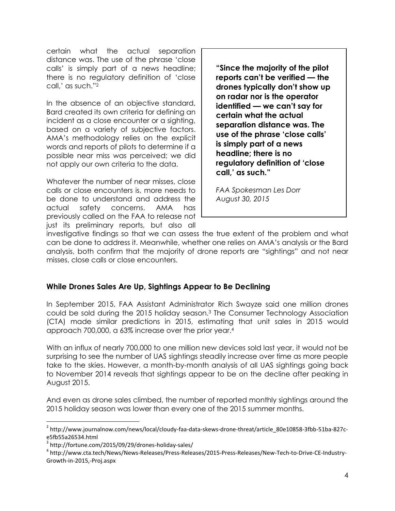certain what the actual separation distance was. The use of the phrase 'close calls' is simply part of a news headline; there is no regulatory definition of 'close call,' as such."<sup>2</sup>

In the absence of an objective standard, Bard created its own criteria for defining an incident as a close encounter or a sighting, based on a variety of subjective factors. AMA's methodology relies on the explicit words and reports of pilots to determine if a possible near miss was perceived; we did not apply our own criteria to the data.

Whatever the number of near misses, close calls or close encounters is, more needs to be done to understand and address the actual safety concerns. AMA has previously called on the FAA to release not just its preliminary reports, but also all **"Since the majority of the pilot reports can't be verified — the drones typically don't show up on radar nor is the operator identified — we can't say for certain what the actual separation distance was. The use of the phrase 'close calls' is simply part of a news headline; there is no regulatory definition of 'close call,' as such."**

*FAA Spokesman Les Dorr August 30, 2015*

investigative findings so that we can assess the true extent of the problem and what can be done to address it. Meanwhile, whether one relies on AMA's analysis or the Bard analysis, both confirm that the majority of drone reports are "sightings" and not near misses, close calls or close encounters.

### **While Drones Sales Are Up, Sightings Appear to Be Declining**

In September 2015, FAA Assistant Administrator Rich Swayze said one million drones could be sold during the 2015 holiday season.<sup>3</sup> The Consumer Technology Association (CTA) made similar predictions in 2015, estimating that unit sales in 2015 would approach 700,000, a 63% increase over the prior year.<sup>4</sup>

With an influx of nearly 700,000 to one million new devices sold last year, it would not be surprising to see the number of UAS sightings steadily increase over time as more people take to the skies. However, a month-by-month analysis of all UAS sightings going back to November 2014 reveals that sightings appear to be on the decline after peaking in August 2015.

And even as drone sales climbed, the number of reported monthly sightings around the 2015 holiday season was lower than every one of the 2015 summer months.

l

<sup>2</sup> http://www.journalnow.com/news/local/cloudy-faa-data-skews-drone-threat/article\_80e10858-3fbb-51ba-827ce5fb55a26534.html

<sup>3</sup> http://fortune.com/2015/09/29/drones-holiday-sales/

<sup>4</sup> http://www.cta.tech/News/News-Releases/Press-Releases/2015-Press-Releases/New-Tech-to-Drive-CE-Industry-Growth-in-2015,-Proj.aspx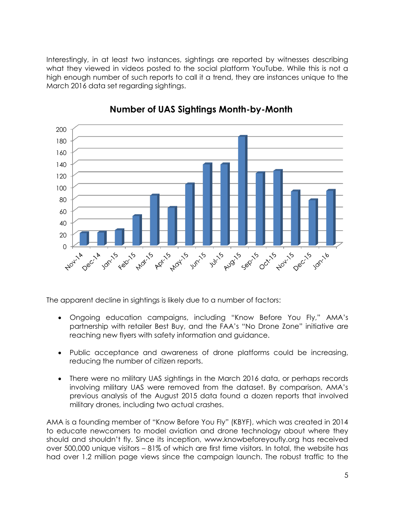Interestingly, in at least two instances, sightings are reported by witnesses describing what they viewed in videos posted to the social platform YouTube. While this is not a high enough number of such reports to call it a trend, they are instances unique to the March 2016 data set regarding sightings.



# **Number of UAS Sightings Month-by-Month**

The apparent decline in sightings is likely due to a number of factors:

- Ongoing education campaigns, including "Know Before You Fly," AMA's partnership with retailer Best Buy, and the FAA's "No Drone Zone" initiative are reaching new flyers with safety information and guidance.
- Public acceptance and awareness of drone platforms could be increasing, reducing the number of citizen reports.
- There were no military UAS sightings in the March 2016 data, or perhaps records involving military UAS were removed from the dataset. By comparison, AMA's previous analysis of the August 2015 data found a dozen reports that involved military drones, including two actual crashes.

AMA is a founding member of "Know Before You Fly" (KBYF), which was created in 2014 to educate newcomers to model aviation and drone technology about where they should and shouldn't fly. Since its inception, www.knowbeforeyoufly.org has received over 500,000 unique visitors – 81% of which are first time visitors. In total, the website has had over 1.2 million page views since the campaign launch. The robust traffic to the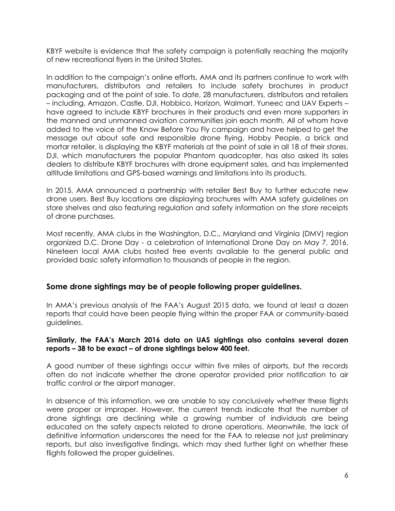KBYF website is evidence that the safety campaign is potentially reaching the majority of new recreational flyers in the United States.

In addition to the campaign's online efforts, AMA and its partners continue to work with manufacturers, distributors and retailers to include safety brochures in product packaging and at the point of sale. To date, 28 manufacturers, distributors and retailers – including, Amazon, Castle, DJI, Hobbico, Horizon, Walmart, Yuneec and UAV Experts – have agreed to include KBYF brochures in their products and even more supporters in the manned and unmanned aviation communities join each month. All of whom have added to the voice of the Know Before You Fly campaign and have helped to get the message out about safe and responsible drone flying. Hobby People, a brick and mortar retailer, is displaying the KBYF materials at the point of sale in all 18 of their stores. DJI, which manufacturers the popular Phantom quadcopter, has also asked its sales dealers to distribute KBYF brochures with drone equipment sales, and has implemented altitude limitations and GPS-based warnings and limitations into its products.

In 2015, AMA announced a partnership with retailer Best Buy to further educate new drone users. Best Buy locations are displaying brochures with AMA safety guidelines on store shelves and also featuring regulation and safety information on the store receipts of drone purchases.

Most recently, AMA clubs in the Washington, D.C., Maryland and Virginia (DMV) region organized D.C. Drone Day - a celebration of International Drone Day on May 7, 2016. Nineteen local AMA clubs hosted free events available to the general public and provided basic safety information to thousands of people in the region.

#### **Some drone sightings may be of people following proper guidelines.**

In AMA's previous analysis of the FAA's August 2015 data, we found at least a dozen reports that could have been people flying within the proper FAA or community-based guidelines.

#### **Similarly, the FAA's March 2016 data on UAS sightings also contains several dozen reports – 38 to be exact – of drone sightings below 400 feet.**

A good number of these sightings occur within five miles of airports, but the records often do not indicate whether the drone operator provided prior notification to air traffic control or the airport manager.

In absence of this information, we are unable to say conclusively whether these flights were proper or improper. However, the current trends indicate that the number of drone sightings are declining while a growing number of individuals are being educated on the safety aspects related to drone operations. Meanwhile, the lack of definitive information underscores the need for the FAA to release not just preliminary reports, but also investigative findings, which may shed further light on whether these flights followed the proper guidelines.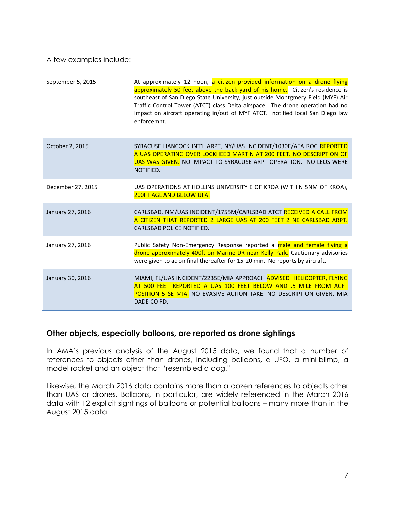A few examples include:

| September 5, 2015 | At approximately 12 noon, a citizen provided information on a drone flying<br>approximately 50 feet above the back yard of his home. Citizen's residence is<br>southeast of San Diego State University, just outside Montgmery Field (MYF) Air<br>Traffic Control Tower (ATCT) class Delta airspace. The drone operation had no<br>impact on aircraft operating in/out of MYF ATCT. notified local San Diego law<br>enforcemnt. |
|-------------------|---------------------------------------------------------------------------------------------------------------------------------------------------------------------------------------------------------------------------------------------------------------------------------------------------------------------------------------------------------------------------------------------------------------------------------|
| October 2, 2015   | SYRACUSE HANCOCK INT'L ARPT, NY/UAS INCIDENT/1030E/AEA ROC REPORTED<br>A UAS OPERATING OVER LOCKHEED MARTIN AT 200 FEET. NO DESCRIPTION OF<br>UAS WAS GIVEN. NO IMPACT TO SYRACUSE ARPT OPERATION. NO LEOS WERE<br>NOTIFIED.                                                                                                                                                                                                    |
| December 27, 2015 | UAS OPERATIONS AT HOLLINS UNIVERSITY E OF KROA (WITHIN 5NM OF KROA),<br>200FT AGL AND BELOW UFA.                                                                                                                                                                                                                                                                                                                                |
| January 27, 2016  | CARLSBAD, NM/UAS INCIDENT/1755M/CARLSBAD ATCT RECEIVED A CALL FROM<br>A CITIZEN THAT REPORTED 2 LARGE UAS AT 200 FEET 2 NE CARLSBAD ARPT.<br>CARLSBAD POLICE NOTIFIED.                                                                                                                                                                                                                                                          |
| January 27, 2016  | Public Safety Non-Emergency Response reported a male and female flying a<br>drone approximately 400ft on Marine DR near Kelly Park. Cautionary advisories<br>were given to ac on final thereafter for 15-20 min. No reports by aircraft.                                                                                                                                                                                        |
| January 30, 2016  | MIAMI, FL/UAS INCIDENT/2235E/MIA APPROACH ADVISED HELICOPTER, FLYING<br>AT 500 FEET REPORTED A UAS 100 FEET BELOW AND .5 MILE FROM ACFT<br>POSITION 5 SE MIA. NO EVASIVE ACTION TAKE. NO DESCRIPTION GIVEN. MIA<br>DADE CO PD.                                                                                                                                                                                                  |

#### **Other objects, especially balloons, are reported as drone sightings**

In AMA's previous analysis of the August 2015 data, we found that a number of references to objects other than drones, including balloons, a UFO, a mini-blimp, a model rocket and an object that "resembled a dog."

Likewise, the March 2016 data contains more than a dozen references to objects other than UAS or drones. Balloons, in particular, are widely referenced in the March 2016 data with 12 explicit sightings of balloons or potential balloons – many more than in the August 2015 data.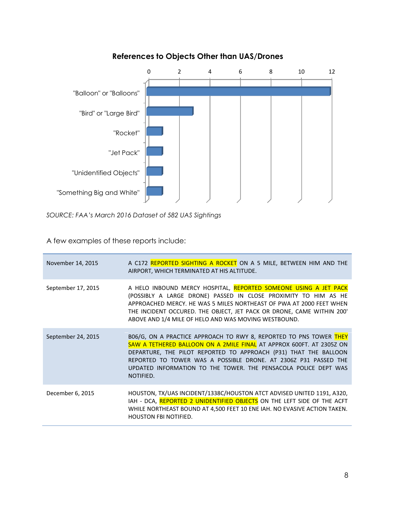

### **References to Objects Other than UAS/Drones**

*SOURCE: FAA's March 2016 Dataset of 582 UAS Sightings*

A few examples of these reports include:

| November 14, 2015  | A C172 REPORTED SIGHTING A ROCKET ON A 5 MILE, BETWEEN HIM AND THE<br>AIRPORT, WHICH TERMINATED AT HIS ALTITUDE.                                                                                                                                                                                                                                                  |
|--------------------|-------------------------------------------------------------------------------------------------------------------------------------------------------------------------------------------------------------------------------------------------------------------------------------------------------------------------------------------------------------------|
| September 17, 2015 | A HELO INBOUND MERCY HOSPITAL, REPORTED SOMEONE USING A JET PACK<br>(POSSIBLY A LARGE DRONE) PASSED IN CLOSE PROXIMITY TO HIM AS HE<br>APPROACHED MERCY. HE WAS 5 MILES NORTHEAST OF PWA AT 2000 FEET WHEN<br>THE INCIDENT OCCURED. THE OBJECT, JET PACK OR DRONE, CAME WITHIN 200'<br>ABOVE AND 1/4 MILE OF HELO AND WAS MOVING WESTBOUND.                       |
| September 24, 2015 | B06/G, ON A PRACTICE APPROACH TO RWY 8, REPORTED TO PNS TOWER THEY<br>SAW A TETHERED BALLOON ON A 2MILE FINAL AT APPROX 600FT. AT 2305Z ON<br>DEPARTURE, THE PILOT REPORTED TO APPROACH (P31) THAT THE BALLOON<br>REPORTED TO TOWER WAS A POSSIBLE DRONE. AT 2306Z P31 PASSED THE<br>UPDATED INFORMATION TO THE TOWER. THE PENSACOLA POLICE DEPT WAS<br>NOTIFIED. |
| December 6, 2015   | HOUSTON, TX/UAS INCIDENT/1338C/HOUSTON ATCT ADVISED UNITED 1191, A320,<br>IAH - DCA, REPORTED 2 UNIDENTIFIED OBJECTS ON THE LEFT SIDE OF THE ACFT<br>WHILE NORTHEAST BOUND AT 4,500 FEET 10 ENE IAH. NO EVASIVE ACTION TAKEN.<br><b>HOUSTON FBI NOTIFIED.</b>                                                                                                     |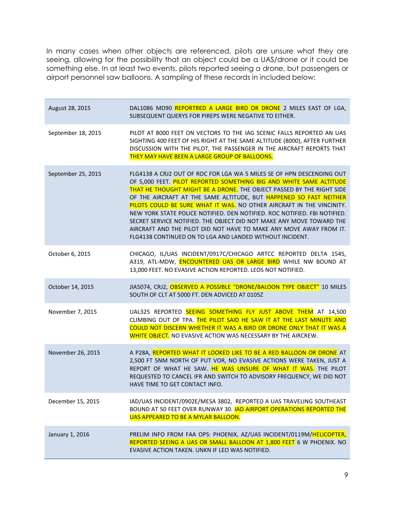In many cases when other objects are referenced, pilots are unsure what they are seeing, allowing for the possibility that an object could be a UAS/drone or it could be something else. In at least two events, pilots reported seeing a drone, but passengers or airport personnel saw balloons. A sampling of these records in included below:

| August 28, 2015    | DAL1086 MD90 REPORTRED A LARGE BIRD OR DRONE 2 MILES EAST OF LGA,<br>SUBSEQUENT QUERYS FOR PIREPS WERE NEGATIVE TO EITHER.                                                                                                                                                                                                                                                                                                                                                                                                                                                                                                                                  |
|--------------------|-------------------------------------------------------------------------------------------------------------------------------------------------------------------------------------------------------------------------------------------------------------------------------------------------------------------------------------------------------------------------------------------------------------------------------------------------------------------------------------------------------------------------------------------------------------------------------------------------------------------------------------------------------------|
| September 18, 2015 | PILOT AT 8000 FEET ON VECTORS TO THE IAG SCENIC FALLS REPORTED AN UAS<br>SIGHTING 400 FEET OF HIS RIGHT AT THE SAME ALTITUDE (8000), AFTER FURTHER<br>DISCUSSION WITH THE PILOT, THE PASSENGER IN THE AIRCRAFT REPORTS THAT<br>THEY MAY HAVE BEEN A LARGE GROUP OF BALLOONS.                                                                                                                                                                                                                                                                                                                                                                                |
| September 25, 2015 | FLG4138 A CRJ2 OUT OF ROC FOR LGA WA 5 MILES SE OF HPN DESCENDING OUT<br>OF 5,000 FEET. PILOT REPORTED SOMETHING BIG AND WHITE SAME ALTITUDE<br>THAT HE THOUGHT MIGHT BE A DRONE. THE OBJECT PASSED BY THE RIGHT SIDE<br>OF THE AIRCRAFT AT THE SAME ALTITUDE, BUT HAPPENED SO FAST NEITHER<br>PILOTS COULD BE SURE WHAT IT WAS. NO OTHER AIRCRAFT IN THE VINCINITY.<br>NEW YORK STATE POLICE NOTIFIED. DEN NOTIFIED. ROC NOTIFIED. FBI NOTIFIED.<br>SECRET SERVICE NOTIFIED. THE OBJECT DID NOT MAKE ANY MOVE TOWARD THE<br>AIRCRAFT AND THE PILOT DID NOT HAVE TO MAKE ANY MOVE AWAY FROM IT.<br>FLG4138 CONTINUED ON TO LGA AND LANDED WITHOUT INCIDENT. |
| October 6, 2015    | CHICAGO, IL/UAS INCIDENT/0917C/CHICAGO ARTCC REPORTED DELTA 1545,<br>A319, ATL-MDW, ENCOUNTERED UAS OR LARGE BIRD WHILE NW BOUND AT<br>13,000 FEET. NO EVASIVE ACTION REPORTED. LEOS NOT NOTIFIED.                                                                                                                                                                                                                                                                                                                                                                                                                                                          |
| October 14, 2015   | JIA5074, CRJ2, OBSERVED A POSSIBLE "DRONE/BALOON TYPE OBJECT" 10 MILES<br>SOUTH OF CLT AT 5000 FT. DEN ADVICED AT 0105Z                                                                                                                                                                                                                                                                                                                                                                                                                                                                                                                                     |
| November 7, 2015   | UAL325 REPORTED SEEING SOMETHING FLY JUST ABOVE THEM AT 14,500<br>CLIMBING OUT OF TPA. THE PILOT SAID HE SAW IT AT THE LAST MINUTE AND<br>COULD NOT DISCERN WHETHER IT WAS A BIRD OR DRONE ONLY THAT IT WAS A<br>WHITE OBJECT. NO EVASIVE ACTION WAS NECESSARY BY THE AIRCREW.                                                                                                                                                                                                                                                                                                                                                                              |
| November 26, 2015  | A P28A, REPORTED WHAT IT LOOKED LIKE TO BE A RED BALLOON OR DRONE AT<br>2,500 FT 5NM NORTH OF PUT VOR, NO EVASIVE ACTIONS WERE TAKEN, JUST A<br>REPORT OF WHAT HE SAW. HE WAS UNSURE OF WHAT IT WAS. THE PILOT<br>REQUESTED TO CANCEL IFR AND SWITCH TO ADVISORY FREQUENCY, WE DID NOT<br>HAVE TIME TO GET CONTACT INFO.                                                                                                                                                                                                                                                                                                                                    |
| December 15, 2015  | IAD/UAS INCIDENT/0902E/MESA 3802, REPORTED A UAS TRAVELING SOUTHEAST<br>BOUND AT 50 FEET OVER RUNWAY 30. IAD AIRPORT OPERATIONS REPORTED THE<br>UAS APPEARED TO BE A MYLAR BALLOON.                                                                                                                                                                                                                                                                                                                                                                                                                                                                         |
| January 1, 2016    | PRELIM INFO FROM FAA OPS: PHOENIX, AZ/UAS INCIDENT/0119M/HELICOPTER,<br>REPORTED SEEING A UAS OR SMALL BALLOON AT 1,800 FEET 6 W PHOENIX. NO<br>EVASIVE ACTION TAKEN. UNKN IF LEO WAS NOTIFIED.                                                                                                                                                                                                                                                                                                                                                                                                                                                             |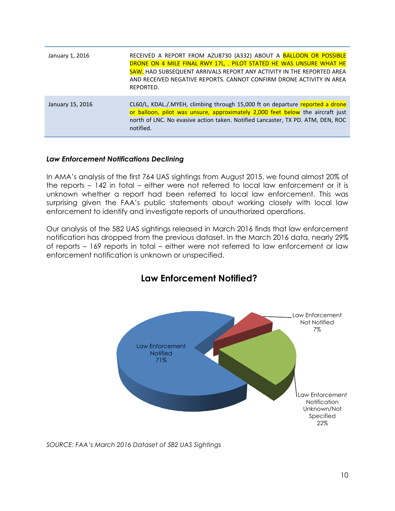| January 1, 2016  | RECEIVED A REPORT FROM AZU8730 (A332) ABOUT A BALLOON OR POSSIBLE<br>DRONE ON 4 MILE FINAL RWY 17L, . PILOT STATED HE WAS UNSURE WHAT HE<br><b>SAW.</b> HAD SUBSEQUENT ARRIVALS REPORT ANY ACTIVITY IN THE REPORTED AREA<br>AND RECEIVED NEGATIVE REPORTS. CANNOT CONFIRM DRONE ACTIVITY IN AREA<br>REPORTED. |
|------------------|---------------------------------------------------------------------------------------------------------------------------------------------------------------------------------------------------------------------------------------------------------------------------------------------------------------|
| January 15, 2016 | CL60/L, KDAL./.MYEH, climbing through 15,000 ft on departure reported a drone<br>or balloon, pilot was unsure, approximately 2,000 feet below the aircraft just<br>north of LNC. No evasive action taken. Notified Lancaster, TX PD. ATM, DEN, ROC<br>notified.                                               |

#### *Law Enforcement Notifications Declining*

In AMA's analysis of the first 764 UAS sightings from August 2015, we found almost 20% of the reports – 142 in total – either were not referred to local law enforcement or it is unknown whether a report had been referred to local law enforcement. This was surprising given the FAA's public statements about working closely with local law enforcement to identify and investigate reports of unauthorized operations.

Our analysis of the 582 UAS sightings released in March 2016 finds that law enforcement notification has dropped from the previous dataset. In the March 2016 data, nearly 29% of reports – 169 reports in total – either were not referred to law enforcement or law enforcement notification is unknown or unspecified.



# **Law Enforcement Notified?**

*SOURCE: FAA's March 2016 Dataset of 582 UAS Sightings*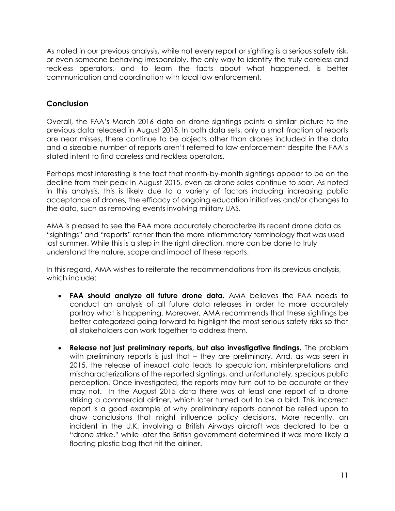As noted in our previous analysis, while not every report or sighting is a serious safety risk, or even someone behaving irresponsibly, the only way to identify the truly careless and reckless operators, and to learn the facts about what happened, is better communication and coordination with local law enforcement.

### **Conclusion**

Overall, the FAA's March 2016 data on drone sightings paints a similar picture to the previous data released in August 2015. In both data sets, only a small fraction of reports are near misses, there continue to be objects other than drones included in the data and a sizeable number of reports aren't referred to law enforcement despite the FAA's stated intent to find careless and reckless operators.

Perhaps most interesting is the fact that month-by-month sightings appear to be on the decline from their peak in August 2015, even as drone sales continue to soar. As noted in this analysis, this is likely due to a variety of factors including increasing public acceptance of drones, the efficacy of ongoing education initiatives and/or changes to the data, such as removing events involving military UAS.

AMA is pleased to see the FAA more accurately characterize its recent drone data as "sightings" and "reports" rather than the more inflammatory terminology that was used last summer. While this is a step in the right direction, more can be done to truly understand the nature, scope and impact of these reports.

In this regard, AMA wishes to reiterate the recommendations from its previous analysis, which include:

- **FAA should analyze all future drone data.** AMA believes the FAA needs to conduct an analysis of all future data releases in order to more accurately portray what is happening. Moreover, AMA recommends that these sightings be better categorized going forward to highlight the most serious safety risks so that all stakeholders can work together to address them.
- **Release not just preliminary reports, but also investigative findings.** The problem with preliminary reports is just that – they are preliminary. And, as was seen in 2015, the release of inexact data leads to speculation, misinterpretations and mischaracterizations of the reported sightings, and unfortunately, specious public perception. Once investigated, the reports may turn out to be accurate or they may not. In the August 2015 data there was at least one report of a drone striking a commercial airliner, which later turned out to be a bird. This incorrect report is a good example of why preliminary reports cannot be relied upon to draw conclusions that might influence policy decisions. More recently, an incident in the U.K. involving a British Airways aircraft was declared to be a "drone strike," while later the British government determined it was more likely a floating plastic bag that hit the airliner.